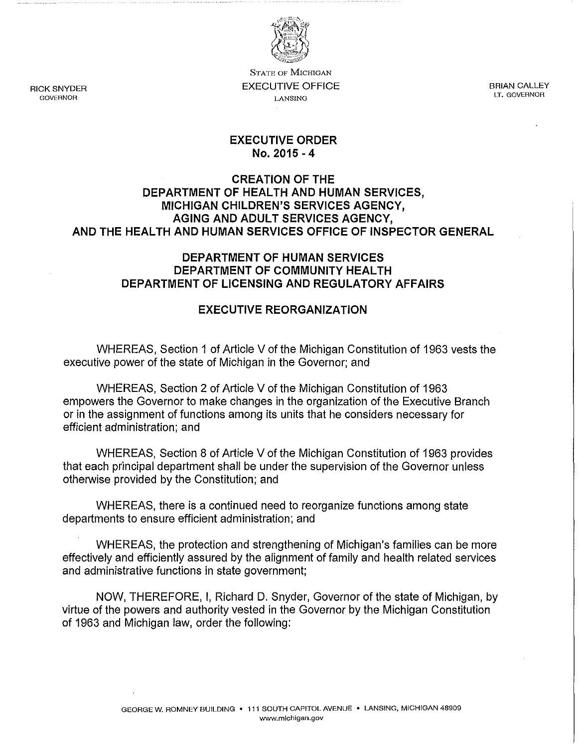

**STATE OF MICHIGAN**  EXECUTIVE OFFICE **LANSING** 

BRIAN CALLEY **LT. GOVERNOR** 

#### **EXECUTIVE ORDER No. 2015 - 4**

### **CREATION OF THE DEPARTMENT OF HEALTH AND HUMAN SERVICES, MICHIGAN CHILDREN'S SERVICES AGENCY, AGING AND ADULT SERVICES AGENCY, AND THE HEALTH AND HUMAN SERVICES OFFICE OF INSPECTOR GENERAL**

### **DEPARTMENT OF HUMAN SERVICES DEPARTMENT OF COMMUNITY HEALTH DEPARTMENT OF LICENSING AND REGULATORY AFFAIRS**

### **EXECUTIVE REORGANIZATION**

WHEREAS, Section 1 of Article V of the Michigan Constitution of 1963 vests the executive power **of** the state of Michigan in the Governor; and

WHEREAS, Section 2 of Article V of the Michigan Constitution of 1963 empowers the Governor to make changes in the organization of the Executive Branch or in the assignment of functions among its units that he considers necessary for efficient administration; and

WHEREAS, Section 8 of Article V of the Michigan Constitution of 1963 provides that each principal department shall be under the supervision of the Governor unless otherwise provided by the Constitution; and

WHEREAS, there is a continued need to reorganize functions among state departments to ensure efficient administration; and

WHEREAS, the protection and strengthening of Michigan's families can be more effectively and efficiently assured by the alignment of family and health related services and administrative functions in state government;

NOW, THEREFORE, I, Richard D. Snyder, Governor of the state of Michigan, by virtue of the powers and authority vested in the Governor by the Michigan Constitution of 1963 and Michigan law, order the following:

RICK SNYDER **GOVERNOR**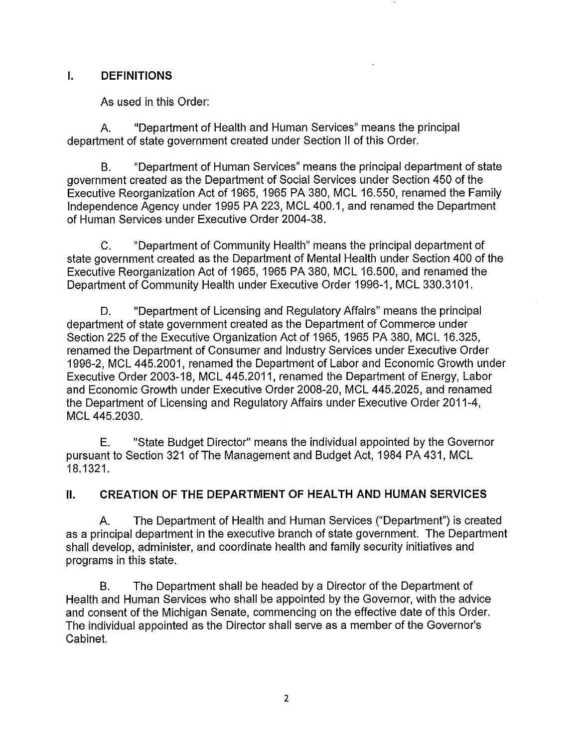## **I. DEFINITIONS**

As used in this Order:

A. "Department of Health and Human Services" means the principal department of state government created under Section II of this Order.

B. "Department of Human Services" means the principal department of state government created as the Department of Social Services under Section 450 of the Executive Reorganization Act of 1965,1965 PA 380, MCl 16.550, renamed the Family Independence Agency under 1995 PA 223, MCl 400.1, and renamed the Department of Human Services under Executive Order 2004-38.

C. "Department of Community Health" means the principal department of state government created as the Department of Mental Health under Section 400 of the Executive Reorganization Act of 1965,1965 PA 380, MCl 16.500, and renamed the Department of Community Health under Executive Order 1996-1, MCl 330.3101.

D. "Department of Licensing and Regulatory Affairs" means the principal department of state government created as the Department of Commerce under Section 225 of the Executive Organization Act of 1965, 1965 PA 380, MCL 16.325, renamed the Department of Consumer and Industry Services under Executive Order 1996-2, MCl 445.2001, renamed the Department of labor and Economic Growth under Executive Order 2003-18, MCl 445.2011, renamed the Department of Energy, labor and Economic Growth under Executive Order 2008-20, MCl 445.2025, and renamed the Department of Licensing and Regulatory Affairs under Executive Order 2011-4, MCL 445.2030.

E. "State Budget Director" means the individual appointed by the Governor pursuant to Section 321 of The Management and Budget Act, 1984 PA 431, MCl 18.1321.

# **II. CREATION OF THE DEPARTMENT OF HEALTH AND HUMAN SERVICES**

A. The Department of Health and Human Services ("Department") is created as a principal department in the executive branch of state government. The Department shall develop, administer, and coordinate health and family security initiatives and programs in this state.

B. The Department shall be headed by a Director of the Department of Health and Human Services who shall be appointed by the Governor, with the advice and consent of the Michigan Senate, commencing on the effective date of this Order. The individual appointed as the Director shall serve as a member of the Governor's Cabinet.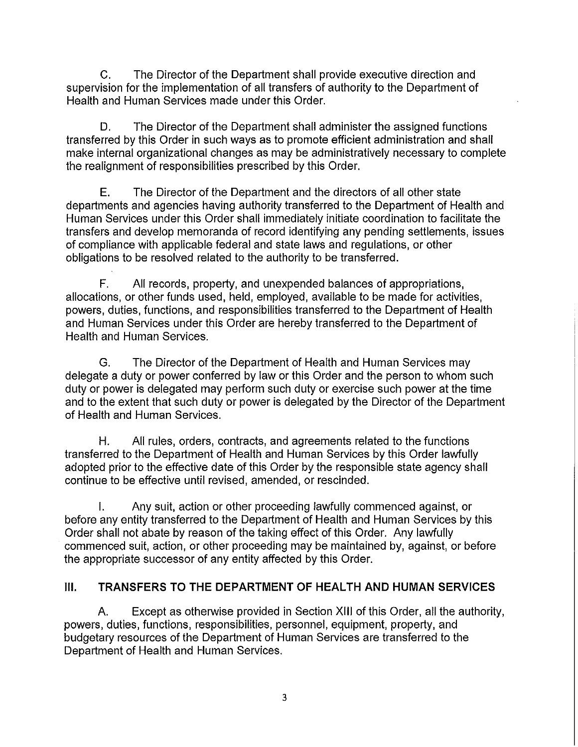C. The Director of the Department shall provide executive direction and supervision for the implementation of all transfers of authority to the Department of Health and Human Services made under this Order.

D. The Director of the Department shall administer the assigned functions transferred by this Order in such ways as to promote efficient administration and shall make internal organizational changes as may be administratively necessary to complete the realignment of responsibilities prescribed by this Order.

E. The Director of the Department and the directors of all other state departments and agencies having authority transferred to the Department of Health and Human Services under this Order shall immediately initiate coordination to facilitate the transfers and develop memoranda of record identifying any pending settlements, issues of compliance with applicable federal and state laws and regulations, or other obligations to be resolved related to the authority to be transferred.

F. All records, property, and unexpended balances of appropriations, allocations, or other funds used, held, employed, available to be made for activities, powers, duties, functions, and responsibilities transferred to the Department of Health and Human Services under this Order are hereby transferred to the Department of Health and Human Services.

G. The Director of the Department of Health and Human Services may delegate a duty or power conferred by law or this Order and the person to whom such duty or power is delegated may perform such duty or exercise such power at the time and to the extent that such duty or power is delegated by the Director of the Department of Health and Human Services.

H. All rules, orders, contracts, and agreements related to the functions transferred to the Department of Health and Human Services by this Order lawfully adopted prior to the effective date of this Order by the responsible state agency shall continue to be effective until revised, amended, or rescinded.

I. Any suit, action or other proceeding lawfully commenced against, or before any entity transferred to the Department of Health and Human Services by this Order shall not abate by reason of the taking effect of this Order. Any lawfully commenced suit, action, or other proceeding may be maintained by, against, or before the appropriate successor of any entity affected by this Order.

# **III. TRANSFERS TO THE DEPARTMENT OF HEALTH AND HUMAN SERVICES**

A. Except as otherwise provided in Section XIII of this Order, all the authority, powers, duties, functions, responsibilities, personnel, equipment, property, and budgetary resources of the Department of Human Services are transferred to the Department of Health and Human Services.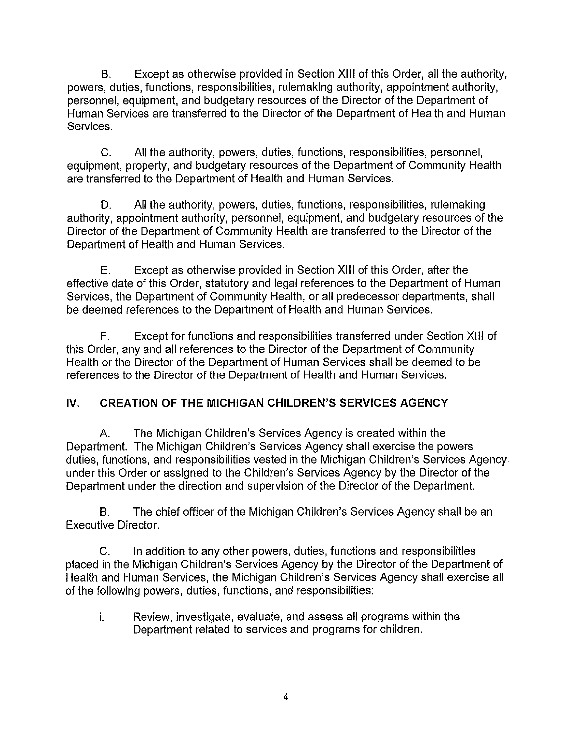B. Except as otherwise provided in Section XIII of this Order, all the authority, powers, duties, functions, responsibilities, rulemaking authority, appointment authority, personnel, equipment, and budgetary resources of the Director of the Department of Human Services are transferred to the Director of the Department of Health and Human Services.

C. All the authority, powers, duties, functions, responsibilities, personnel, equipment, property, and budgetary resources of the Department of Community Health are transferred to the Department of Health and Human Services.

D. All the authority, powers, duties, functions, responsibilities, rulemaking authority, appointment authority, personnel, equipment, and budgetary resources of the Director of the Department of Community Health are transferred to the Director of the Department of Health and Human Services.

E. Except as otherwise provided in Section XIII of this Order, after the effective date of this Order, statutory and legal references to the Department of Human Services, the Department of Community Health, or all predecessor departments, shall be deemed references to the Department of Health and Human Services.

F. Except for functions and responsibilities transferred under Section XIII of this Order, any and all references to the Director of the Department of Community Health or the Director of the Department of Human Services shall be deemed to be references to the Director of the Department of Health and Human Services.

# IV. **CREATION OF THE MICHIGAN CHILDREN'S SERVICES AGENCY**

A. The Michigan Children's Services Agency is created within the Department. The Michigan Children's Services Agency shall exercise the powers duties, functions, and responsibilities vested in the Michigan Children's Services Agency under this Order or assigned to the Children's Services Agency by the Director of the Department under the direction and supervision of the Director of the Department.

B. The chief officer of the Michigan Children's Services Agency shall be an Executive Director.

C. In addition to any other powers, duties, functions and responsibilities placed in the Michigan Children's Services Agency by the Director of the Department of Health and Human Services, the Michigan Children's Services Agency shall exercise all of the following powers, duties, functions, and responsibilities:

i. Review, investigate, evaluate, and assess all programs within the Department related to services and programs for children.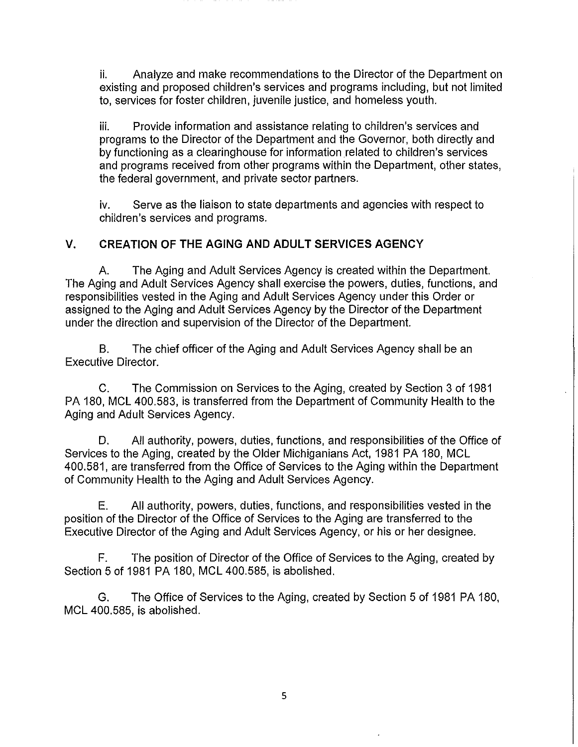ii. Analyze and make recommendations to the Director of the Department on existing and proposed children's services and programs including, but not limited to, services for foster children, juvenile justice, and homeless youth.

iii. Provide information and assistance relating to children's services and programs to the Director of the Department and the Governor, both directly and by functioning as a clearinghouse for information related to children's services and programs received from other programs within the Department, other states, the federal government, and private sector partners.

iv. Serve as the liaison to state departments and agencies with respect to children's services and programs.

## V. CREATION **OF THE** AGING AND ADULT SERVICES AGENCY

A. The Aging and Adult Services Agency is created within the Department. The Aging and Adult Services Agency shall exercise the powers, duties, functions, and responsibilities vested in the Aging and Adult Services Agency under this Order or assigned to the Aging and Adult Services Agency by the Director of the Department under the direction and supervision of the Director of the Department.

B. The chief officer of the Aging and Adult Services Agency shall be an Executive Director.

C. The Commission on Services to the Aging, created by Section 3 of 1981 PA 180, MCL 400.583, is transferred from the Department of Community Health to the Aging and Adult Services Agency.

D. All authority, powers, duties, functions, and responsibilities of the Office of Services to the Aging, created by the Older Michiganians Act, 1981 PA 180, MCl 400.581, are transferred from the Office of Services to the Aging within the Department of Community Health to the Aging and Adult Services Agency.

E. All authority, powers, duties, functions, and responsibilities vested in the position of the Director of the Office of Services to the Aging are transferred to the Executive Director of the Aging and Adult Services Agency, or his or her designee.

F. The position of Director of the Office of Services to the Aging, created by Section 5 of 1981 PA 180, MCl 400.585, is abolished.

G. The Office of Services to the Aging, created by Section 5 of 1981 PA 180, MCl 400.585, is abolished.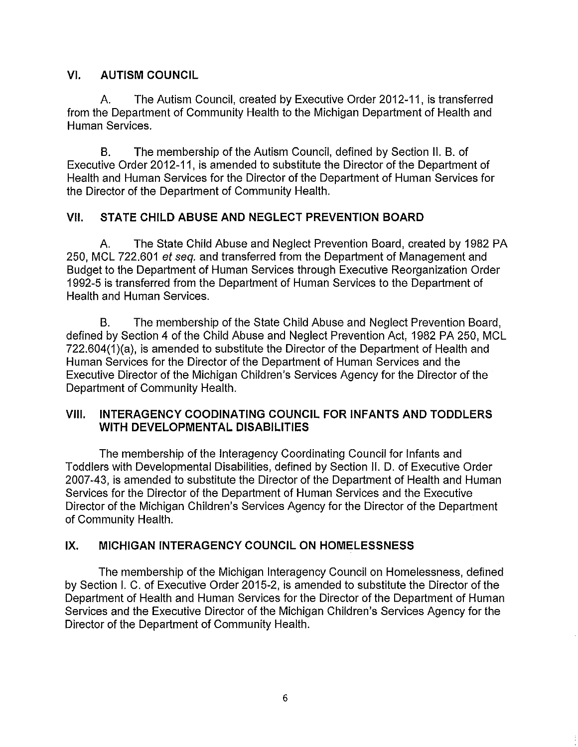## **VI. AUTISM COUNCIL**

A. **The** Autism Council, created by Executive Order 2012-11, is transferred from the Department of Community Health to the Michigan Department of Health and Human Services.

B. **The** membership of the Autism Council, defined by Section **II.** B. of Executive Order 2012-11, is amended to substitute the Director of the Department of Health and Human Services for the Director of the Department of Human Services for the Director of the Department of Community Health.

# **VII. STATE CHILD ABUSE AND NEGLECT PREVENTION BOARD**

A. **The** State Child Abuse and Neglect Prevention Board, created by 1982 PA 250, MCl 722.601 et seq. and transferred from the Department of Management and Budget to the Department of Human Services through Executive Reorganization Order 1992-5 is transferred from the Department of Human Services to the Department of Health and Human Services.

B. The membership of the State Child Abuse and Neglect Prevention Board, defined by Section 4 of the Child Abuse and Neglect Prevention Act, 1982 PA 250, MCl 722.604(1)(a), is amended to substitute the Director of the Department of Health and Human Services for the Director of the Department of Human Services and the Executive Director of the Michigan Children's Services Agency for the Director of the Department of Community Health.

### **VIII. INTERAGENCY COODINATING COUNCIL FOR INFANTS AND TODDLERS WITH DEVELOPMENTAL DISABILITIES**

The membership of the Interagency Coordinating Council for Infants and Toddlers with Developmental Disabilities, defined by Section II. D. of Executive Order 2007-43, is amended to substitute the Director of the Department of Health and Human Services for the Director of the Department of Human Services and the Executive Director of the Michigan Children's Services Agency for the Director of the Department of Community Health.

# **IX. MICHIGAN INTERAGENCY COUNCIL ON HOMELESSNESS**

The membership of the Michigan Interagency Council on Homelessness, defined by Section I. C. of Executive Order 2015-2, is amended to substitute the Director of the Department of Health and Human Services for the Director of the Department of Human Services and the Executive Director of the Michigan Children's Services Agency for the Director of the Department of Community Health.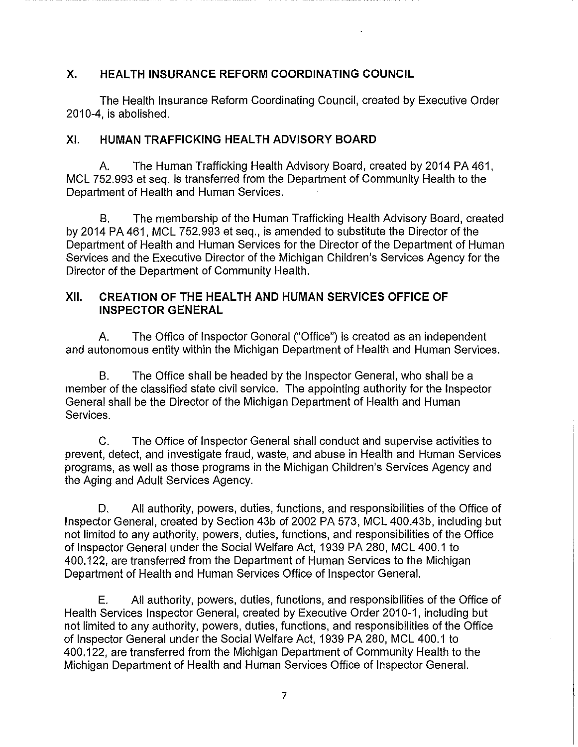## X. **HEALTH INSURANCE REFORM COORDINATING COUNCIL**

The Health Insurance Reform Coordinating Council, created by Executive Order 2010-4, is abolished.

## **XI. HUMAN TRAFFICKING HEALTH ADVISORY BOARD**

A. The Human Trafficking Health Advisory Board, created by 2014 PA 461, MCl 752.993 et seq. is transferred from the Department of Community Health to the Department of Health and Human Services.

B. The membership of the Human Trafficking Health Advisory Board, created by 2014 PA 461, MCl 752.993 et seq., is amended to substitute the Director of the Department of Health and Human Services for the Director of the Department of Human Services and the Executive Director of the Michigan Children's Services Agency for the Director of the Department of Community Health.

### XII. **CREATION OF THE HEALTH AND HUMAN SERVICES OFFICE OF INSPECTOR GENERAL**

A. The Office of Inspector General ("Office") is created as an independent and autonomous entity within the Michigan Department of Health and Human Services.

B. The Office shall be headed by the Inspector General, who shall be a member of the classified state civil service. The appointing authority for the Inspector General shall be the Director of the Michigan Department of Health and Human Services.

C. The Office of Inspector General shall conduct and supervise activities to prevent, detect, and investigate fraud, waste, and abuse in Health and Human Services programs, as well as those programs in the Michigan Children's Services Agency and the Aging and Adult Services Agency.

D. All authority, powers, duties, functions, and responsibilities of the Office of Inspector General, created by Section 43b of 2002 PA 573, MCl 400.43b, including but not limited to any authority, powers, duties, functions, and responsibilities of the Office of Inspector General under the Social Welfare Act, 1939 PA 280, MCl 400.1 to 400.122, are transferred from the Department of Human Services to the Michigan Department of Health and Human Services Office of Inspector General.

E. All authority, powers, duties, functions, and responsibilities of the Office of Health Services Inspector General, created by Executive Order 2010-1, including but not limited to any authority, powers, duties, functions, and responsibilities of the Office of Inspector General under the Social Welfare Act, 1939 PA 280, MCl 400.1 to 400.122, are transferred from the Michigan Department of Community Health to the Michigan Department of Health and Human Services Office of Inspector General.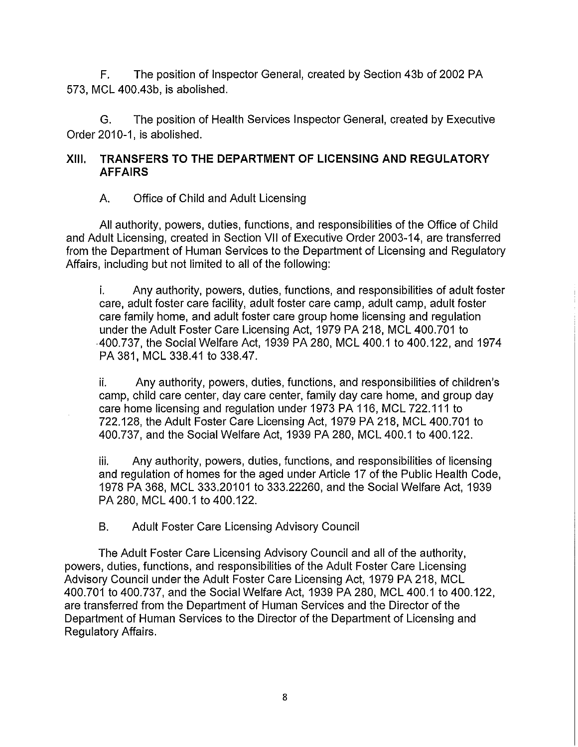F. The position of Inspector General, created by Section 43b of 2002 PA 573, MCl 400.43b, is abolished.

G. The position of Health Services Inspector General, created by Executive Order 2010-1, is abolished.

### **XIII. TRANSFERS TO THE DEPARTMENT OF LICENSING AND REGULATORY AFFAIRS**

## A. Office of Child and Adult Licensing

All authority, powers, duties, functions, and responsibilities of the Office of Child and Adult Licensing, created in Section VII of Executive Order 2003-14, are transferred from the Department of Human Services to the Department of Licensing and Regulatory Affairs, including but not limited to all of the following:

i. Any authority, powers, duties, functions, and responsibilities of adult foster care, adult foster care facility, adult foster care camp, adult camp, adult foster care family home, and adult foster care group home licensing and regulation under the Adult Foster Care Licensing Act, 1979 PA 218, MCl 400.701 to 400.737, the Social Welfare Act, 1939 PA 280, MCl 400.1 to 400.122, and 1974 PA 381, MCl 338.41 to 338.47.

ii. Any authority, powers, duties, functions, and responsibilities of children's camp, child care center, day care center, family day care home, and group day care home licensing and regulation under 1973 PA 116, MCl 722.111 to 722.128, the Adult Foster Care Licensing Act, 1979 PA 218, MCl 400.701 to 400.737, and the Social Welfare Act, 1939 **PA** 280, MCl 400.1 to 400.122.

iii. Any authority, powers, duties, functions, and responsibilities of licensing and regulation of homes for the aged under Article 17 of the Public Health Code, 1978 **PA** 368, MCl 333.20101 to 333.22260, and the Social Welfare Act, 1939 PA 280, MCl 400.1 to 400.122.

B. Adult Foster Care Licensing Advisory Council

The Adult Foster Care Licensing Advisory Council and all of the authority, powers, duties, functions, and responsibilities of the Adult Foster Care Licensing Advisory Council under the Adult Foster Care Licensing Act, 1979 PA 218, MCl 400.701 to 400.737, and the Social Welfare Act, 1939 PA 280, MCl 400.1 to 400.122, are transferred from the Department of Human Services and the Director of the Department of Human Services to the Director of the Department of Licensing and Regulatory Affairs.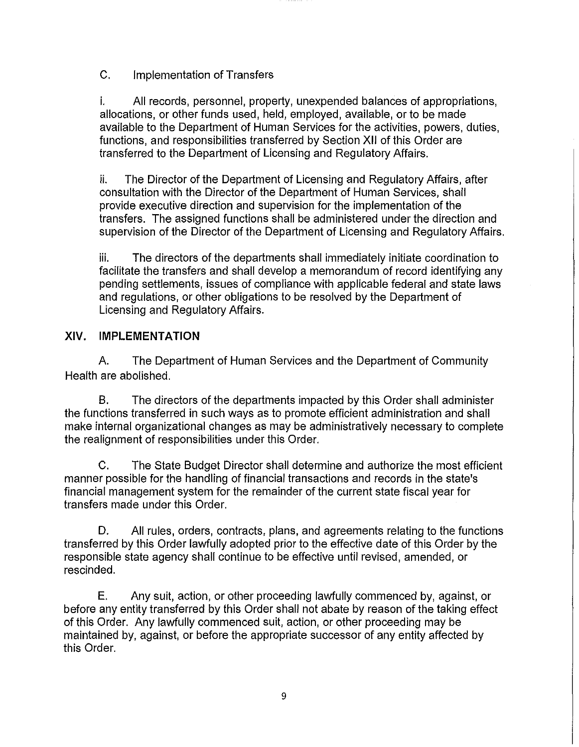C. Implementation of Transfers

i. All records, personnel, property, unexpended balances of appropriations, allocations, or other funds used, held, employed, available, or to be made available to the Department of Human Services for the activities, powers, duties, functions, and responsibilities transferred by Section XII of this Order are transferred to the Department of Licensing and Regulatory Affairs.

ii. The Director of the Department of Licensing and Regulatory Affairs, after consultation with the Director of the Department of Human Services, shall provide executive direction and supervision for the implementation of the transfers. The assigned functions shall be administered under the direction and supervision of the Director of the Department of Licensing and Regulatory Affairs.

iii. The directors of the departments shall immediately initiate coordination to facilitate the transfers and shall develop a memorandum of record identifying any pending settlements, issues of compliance with applicable federal and state laws and regulations, or other obligations to be resolved by the Department of Licensing and Regulatory Affairs.

# XIV. **IMPLEMENTATION**

A. The Department of Human Services and the Department of Community Health are abolished.

B. The directors of the departments impacted by this Order shall administer the functions transferred in such ways as to promote efficient administration and shall make internal organizational changes as may be administratively necessary to complete the realignment of responsibilities under this Order.

C. The State Budget Director shall determine and authorize the most efficient manner possible for the handling of financial transactions and records in the state's financial management system for the remainder of the current state fiscal year for transfers made under this Order.

D. **All** rules, orders, contracts, plans, and agreements relating to the functions transferred by this Order lawfully adopted prior to the effective date of this Order by the responsible state agency shall continue to be effective until revised, amended, or rescinded.

E. Any suit, action, or other proceeding lawfully commenced by, against, or before any entity transferred by this Order shall not abate by reason of the taking effect of this Order. Any lawfully commenced suit, action, or other proceeding may be maintained by, against, or before the appropriate successor of any entity affected by this Order.